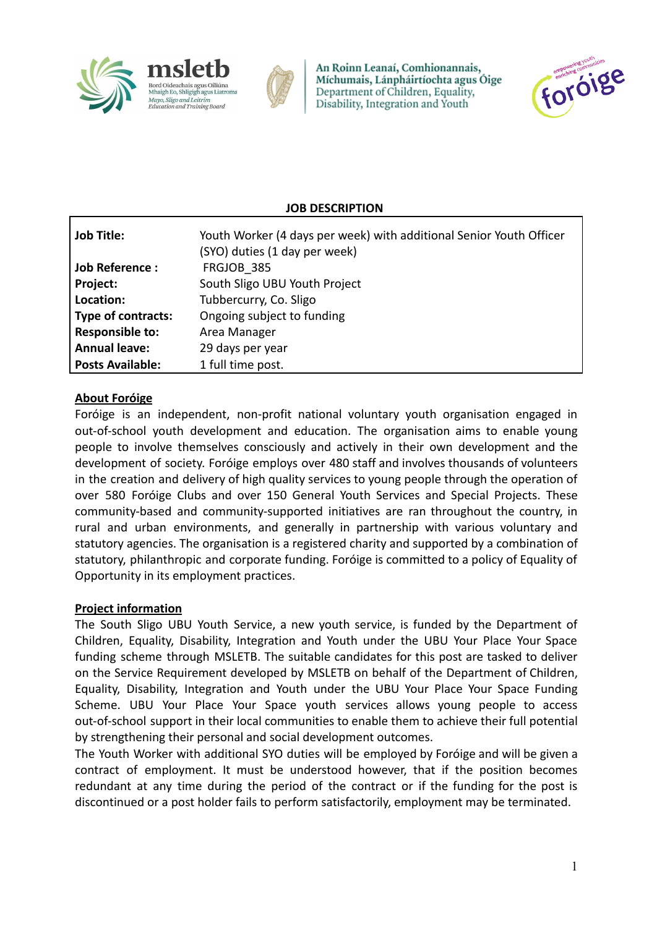



An Roinn Leanaí, Comhionannais, Míchumais, Lánpháirtíochta agus Óige Department of Children, Equality, Disability, Integration and Youth



### **JOB DESCRIPTION**

| <b>Job Title:</b>         | Youth Worker (4 days per week) with additional Senior Youth Officer<br>(SYO) duties (1 day per week) |
|---------------------------|------------------------------------------------------------------------------------------------------|
| <b>Job Reference:</b>     | FRGJOB 385                                                                                           |
| Project:                  | South Sligo UBU Youth Project                                                                        |
| Location:                 | Tubbercurry, Co. Sligo                                                                               |
| <b>Type of contracts:</b> | Ongoing subject to funding                                                                           |
| <b>Responsible to:</b>    | Area Manager                                                                                         |
| <b>Annual leave:</b>      | 29 days per year                                                                                     |
| <b>Posts Available:</b>   | 1 full time post.                                                                                    |

### **About Foróige**

Foróige is an independent, non-profit national voluntary youth organisation engaged in out-of-school youth development and education. The organisation aims to enable young people to involve themselves consciously and actively in their own development and the development of society. Foróige employs over 480 staff and involves thousands of volunteers in the creation and delivery of high quality services to young people through the operation of over 580 Foróige Clubs and over 150 General Youth Services and Special Projects. These community-based and community-supported initiatives are ran throughout the country, in rural and urban environments, and generally in partnership with various voluntary and statutory agencies. The organisation is a registered charity and supported by a combination of statutory, philanthropic and corporate funding. Foróige is committed to a policy of Equality of Opportunity in its employment practices.

#### **Project information**

The South Sligo UBU Youth Service, a new youth service, is funded by the Department of Children, Equality, Disability, Integration and Youth under the UBU Your Place Your Space funding scheme through MSLETB. The suitable candidates for this post are tasked to deliver on the Service Requirement developed by MSLETB on behalf of the Department of Children, Equality, Disability, Integration and Youth under the UBU Your Place Your Space Funding Scheme. UBU Your Place Your Space youth services allows young people to access out-of-school support in their local communities to enable them to achieve their full potential by strengthening their personal and social development outcomes.

The Youth Worker with additional SYO duties will be employed by Foróige and will be given a contract of employment. It must be understood however, that if the position becomes redundant at any time during the period of the contract or if the funding for the post is discontinued or a post holder fails to perform satisfactorily, employment may be terminated.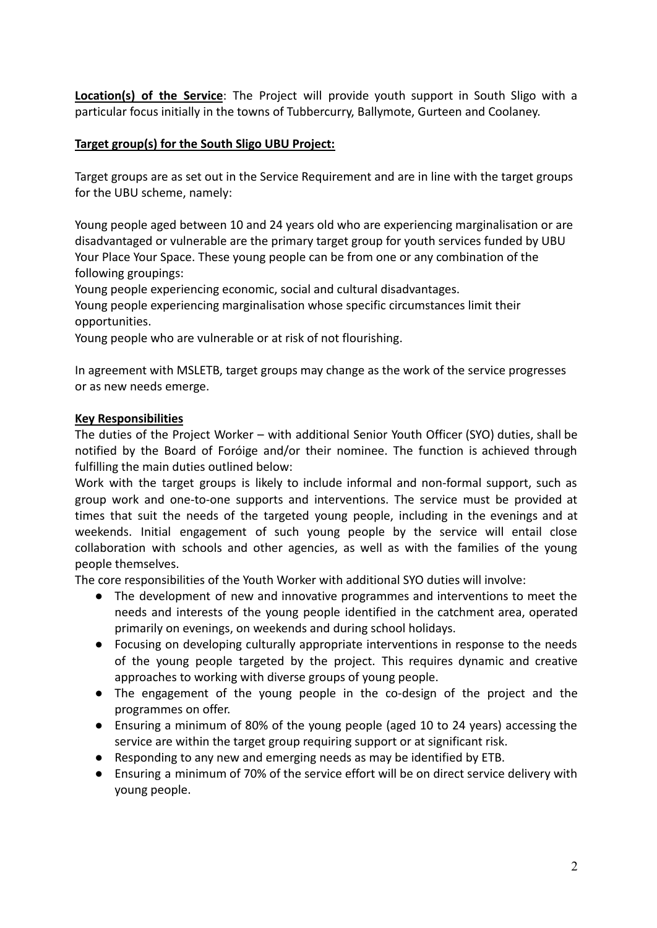**Location(s) of the Service**: The Project will provide youth support in South Sligo with a particular focus initially in the towns of Tubbercurry, Ballymote, Gurteen and Coolaney.

### **Target group(s) for the South Sligo UBU Project:**

Target groups are as set out in the Service Requirement and are in line with the target groups for the UBU scheme, namely:

Young people aged between 10 and 24 years old who are experiencing marginalisation or are disadvantaged or vulnerable are the primary target group for youth services funded by UBU Your Place Your Space. These young people can be from one or any combination of the following groupings:

Young people experiencing economic, social and cultural disadvantages.

Young people experiencing marginalisation whose specific circumstances limit their opportunities.

Young people who are vulnerable or at risk of not flourishing.

In agreement with MSLETB, target groups may change as the work of the service progresses or as new needs emerge.

### **Key Responsibilities**

The duties of the Project Worker – with additional Senior Youth Officer (SYO) duties, shall be notified by the Board of Foróige and/or their nominee. The function is achieved through fulfilling the main duties outlined below:

Work with the target groups is likely to include informal and non-formal support, such as group work and one-to-one supports and interventions. The service must be provided at times that suit the needs of the targeted young people, including in the evenings and at weekends. Initial engagement of such young people by the service will entail close collaboration with schools and other agencies, as well as with the families of the young people themselves.

The core responsibilities of the Youth Worker with additional SYO duties will involve:

- The development of new and innovative programmes and interventions to meet the needs and interests of the young people identified in the catchment area, operated primarily on evenings, on weekends and during school holidays.
- Focusing on developing culturally appropriate interventions in response to the needs of the young people targeted by the project. This requires dynamic and creative approaches to working with diverse groups of young people.
- The engagement of the young people in the co-design of the project and the programmes on offer.
- Ensuring a minimum of 80% of the young people (aged 10 to 24 years) accessing the service are within the target group requiring support or at significant risk.
- Responding to any new and emerging needs as may be identified by ETB.
- Ensuring a minimum of 70% of the service effort will be on direct service delivery with young people.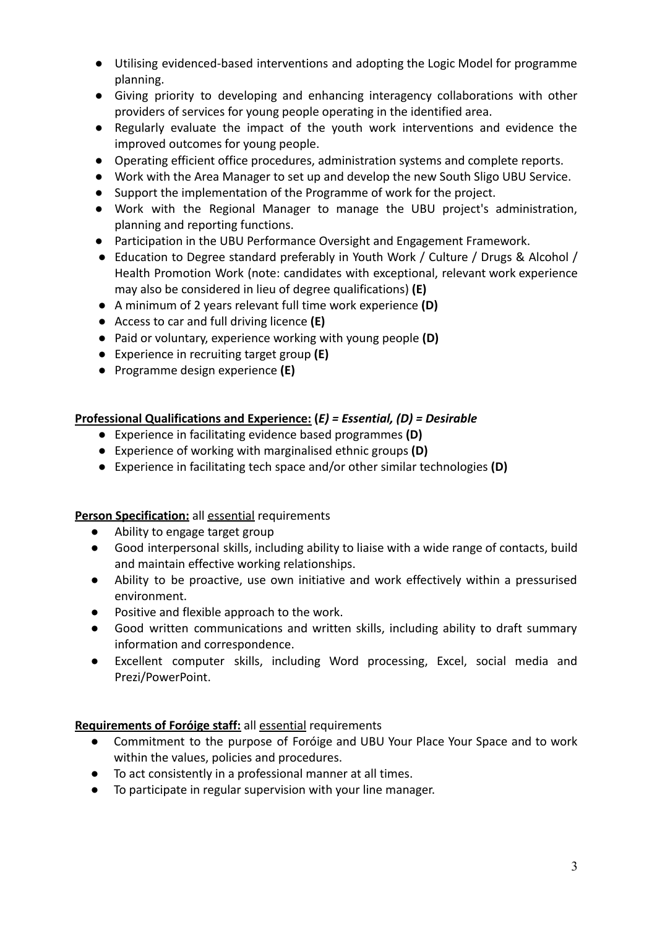- Utilising evidenced-based interventions and adopting the Logic Model for programme planning.
- Giving priority to developing and enhancing interagency collaborations with other providers of services for young people operating in the identified area.
- Regularly evaluate the impact of the youth work interventions and evidence the improved outcomes for young people.
- Operating efficient office procedures, administration systems and complete reports.
- Work with the Area Manager to set up and develop the new South Sligo UBU Service.
- Support the implementation of the Programme of work for the project.
- Work with the Regional Manager to manage the UBU project's administration, planning and reporting functions.
- Participation in the UBU Performance Oversight and Engagement Framework.
- Education to Degree standard preferably in Youth Work / Culture / Drugs & Alcohol / Health Promotion Work (note: candidates with exceptional, relevant work experience may also be considered in lieu of degree qualifications) **(E)**
- A minimum of 2 years relevant full time work experience **(D)**
- Access to car and full driving licence **(E)**
- Paid or voluntary, experience working with young people **(D)**
- Experience in recruiting target group **(E)**
- Programme design experience **(E)**

# **Professional Qualifications and Experience: (***E) = Essential, (D) = Desirable*

- Experience in facilitating evidence based programmes **(D)**
- Experience of working with marginalised ethnic groups **(D)**
- Experience in facilitating tech space and/or other similar technologies **(D)**

# **Person Specification:** all essential requirements

- Ability to engage target group
- Good interpersonal skills, including ability to liaise with a wide range of contacts, build and maintain effective working relationships.
- Ability to be proactive, use own initiative and work effectively within a pressurised environment.
- Positive and flexible approach to the work.
- Good written communications and written skills, including ability to draft summary information and correspondence.
- Excellent computer skills, including Word processing, Excel, social media and Prezi/PowerPoint.

# **Requirements of Foróige staff:** all essential requirements

- Commitment to the purpose of Foróige and UBU Your Place Your Space and to work within the values, policies and procedures.
- To act consistently in a professional manner at all times.
- To participate in regular supervision with your line manager.